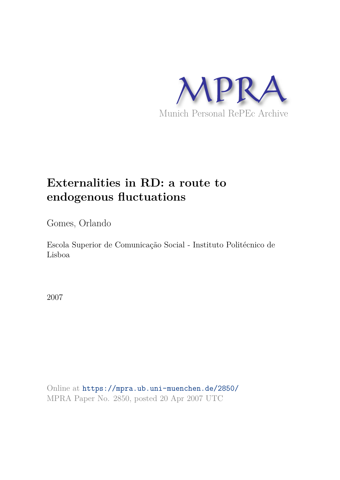

# **Externalities in RD: a route to endogenous fluctuations**

Gomes, Orlando

Escola Superior de Comunicação Social - Instituto Politécnico de Lisboa

2007

Online at https://mpra.ub.uni-muenchen.de/2850/ MPRA Paper No. 2850, posted 20 Apr 2007 UTC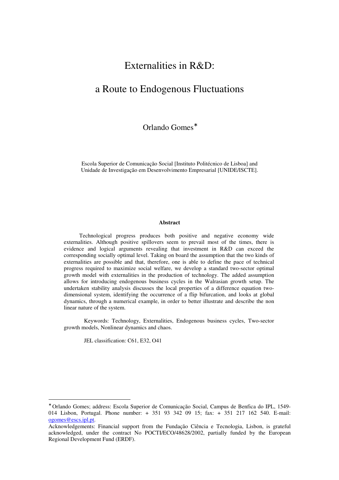# Externalities in R&D:

# a Route to Endogenous Fluctuations

Orlando Gomes<sup>\*</sup>

Escola Superior de Comunicação Social [Instituto Politécnico de Lisboa] and Unidade de Investigação em Desenvolvimento Empresarial [UNIDE/ISCTE].

#### **Abstract**

Technological progress produces both positive and negative economy wide externalities. Although positive spillovers seem to prevail most of the times, there is evidence and logical arguments revealing that investment in R&D can exceed the corresponding socially optimal level. Taking on board the assumption that the two kinds of externalities are possible and that, therefore, one is able to define the pace of technical progress required to maximize social welfare, we develop a standard two-sector optimal growth model with externalities in the production of technology. The added assumption allows for introducing endogenous business cycles in the Walrasian growth setup. The undertaken stability analysis discusses the local properties of a difference equation twodimensional system, identifying the occurrence of a flip bifurcation, and looks at global dynamics, through a numerical example, in order to better illustrate and describe the non linear nature of the system.

Keywords: Technology, Externalities, Endogenous business cycles, Two-sector growth models, Nonlinear dynamics and chaos.

JEL classification: C61, E32, O41

 $\overline{a}$ 

<sup>∗</sup> Orlando Gomes; address: Escola Superior de Comunicação Social, Campus de Benfica do IPL, 1549- 014 Lisbon, Portugal. Phone number: + 351 93 342 09 15; fax: + 351 217 162 540. E-mail: ogomes@escs.ipl.pt.

Acknowledgements: Financial support from the Fundação Ciência e Tecnologia, Lisbon, is grateful acknowledged, under the contract No POCTI/ECO/48628/2002, partially funded by the European Regional Development Fund (ERDF).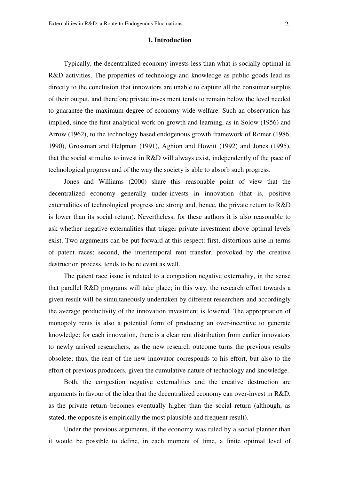### **1. Introduction**

Typically, the decentralized economy invests less than what is socially optimal in R&D activities. The properties of technology and knowledge as public goods lead us directly to the conclusion that innovators are unable to capture all the consumer surplus of their output, and therefore private investment tends to remain below the level needed to guarantee the maximum degree of economy wide welfare. Such an observation has implied, since the first analytical work on growth and learning, as in Solow (1956) and Arrow (1962), to the technology based endogenous growth framework of Romer (1986, 1990), Grossman and Helpman (1991), Aghion and Howitt (1992) and Jones (1995), that the social stimulus to invest in R&D will always exist, independently of the pace of technological progress and of the way the society is able to absorb such progress.

Jones and Williams (2000) share this reasonable point of view that the decentralized economy generally under-invests in innovation (that is, positive externalities of technological progress are strong and, hence, the private return to R&D is lower than its social return). Nevertheless, for these authors it is also reasonable to ask whether negative externalities that trigger private investment above optimal levels exist. Two arguments can be put forward at this respect: first, distortions arise in terms of patent races; second, the intertemporal rent transfer, provoked by the creative destruction process, tends to be relevant as well.

The patent race issue is related to a congestion negative externality, in the sense that parallel R&D programs will take place; in this way, the research effort towards a given result will be simultaneously undertaken by different researchers and accordingly the average productivity of the innovation investment is lowered. The appropriation of monopoly rents is also a potential form of producing an over-incentive to generate knowledge: for each innovation, there is a clear rent distribution from earlier innovators to newly arrived researchers, as the new research outcome turns the previous results obsolete; thus, the rent of the new innovator corresponds to his effort, but also to the effort of previous producers, given the cumulative nature of technology and knowledge.

Both, the congestion negative externalities and the creative destruction are arguments in favour of the idea that the decentralized economy can over-invest in R&D, as the private return becomes eventually higher than the social return (although, as stated, the opposite is empirically the most plausible and frequent result).

Under the previous arguments, if the economy was ruled by a social planner than it would be possible to define, in each moment of time, a finite optimal level of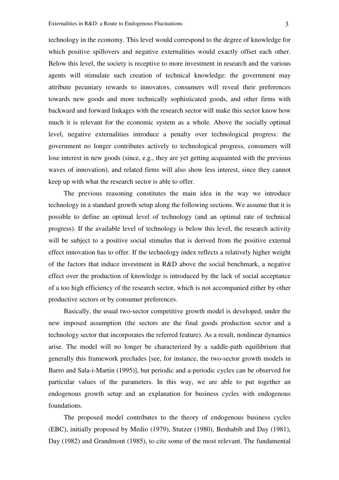technology in the economy. This level would correspond to the degree of knowledge for which positive spillovers and negative externalities would exactly offset each other. Below this level, the society is receptive to more investment in research and the various agents will stimulate such creation of technical knowledge: the government may attribute pecuniary rewards to innovators, consumers will reveal their preferences towards new goods and more technically sophisticated goods, and other firms with backward and forward linkages with the research sector will make this sector know how much it is relevant for the economic system as a whole. Above the socially optimal level, negative externalities introduce a penalty over technological progress: the government no longer contributes actively to technological progress, consumers will lose interest in new goods (since, e.g., they are yet getting acquainted with the previous waves of innovation), and related firms will also show less interest, since they cannot keep up with what the research sector is able to offer.

The previous reasoning constitutes the main idea in the way we introduce technology in a standard growth setup along the following sections. We assume that it is possible to define an optimal level of technology (and an optimal rate of technical progress). If the available level of technology is below this level, the research activity will be subject to a positive social stimulus that is derived from the positive external effect innovation has to offer. If the technology index reflects a relatively higher weight of the factors that induce investment in R&D above the social benchmark, a negative effect over the production of knowledge is introduced by the lack of social acceptance of a too high efficiency of the research sector, which is not accompanied either by other productive sectors or by consumer preferences.

Basically, the usual two-sector competitive growth model is developed, under the new imposed assumption (the sectors are the final goods production sector and a technology sector that incorporates the referred feature). As a result, nonlinear dynamics arise. The model will no longer be characterized by a saddle-path equilibrium that generally this framework precludes [see, for instance, the two-sector growth models in Barro and Sala-i-Martin (1995)], but periodic and a-periodic cycles can be observed for particular values of the parameters. In this way, we are able to put together an endogenous growth setup and an explanation for business cycles with endogenous foundations.

The proposed model contributes to the theory of endogenous business cycles (EBC), initially proposed by Medio (1979), Stutzer (1980), Benhabib and Day (1981), Day (1982) and Grandmont (1985), to cite some of the most relevant. The fundamental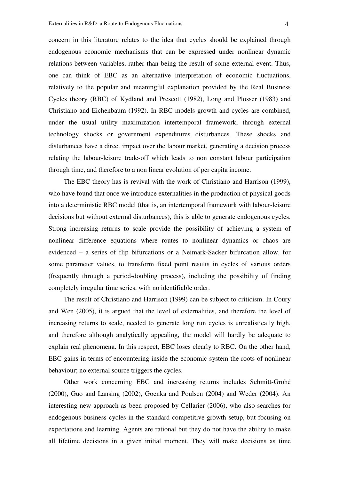concern in this literature relates to the idea that cycles should be explained through endogenous economic mechanisms that can be expressed under nonlinear dynamic relations between variables, rather than being the result of some external event. Thus, one can think of EBC as an alternative interpretation of economic fluctuations, relatively to the popular and meaningful explanation provided by the Real Business Cycles theory (RBC) of Kydland and Prescott (1982), Long and Plosser (1983) and Christiano and Eichenbaum (1992). In RBC models growth and cycles are combined, under the usual utility maximization intertemporal framework, through external technology shocks or government expenditures disturbances. These shocks and disturbances have a direct impact over the labour market, generating a decision process relating the labour-leisure trade-off which leads to non constant labour participation through time, and therefore to a non linear evolution of per capita income.

The EBC theory has is revival with the work of Christiano and Harrison (1999), who have found that once we introduce externalities in the production of physical goods into a deterministic RBC model (that is, an intertemporal framework with labour-leisure decisions but without external disturbances), this is able to generate endogenous cycles. Strong increasing returns to scale provide the possibility of achieving a system of nonlinear difference equations where routes to nonlinear dynamics or chaos are evidenced – a series of flip bifurcations or a Neimark-Sacker bifurcation allow, for some parameter values, to transform fixed point results in cycles of various orders (frequently through a period-doubling process), including the possibility of finding completely irregular time series, with no identifiable order.

The result of Christiano and Harrison (1999) can be subject to criticism. In Coury and Wen (2005), it is argued that the level of externalities, and therefore the level of increasing returns to scale, needed to generate long run cycles is unrealistically high, and therefore although analytically appealing, the model will hardly be adequate to explain real phenomena. In this respect, EBC loses clearly to RBC. On the other hand, EBC gains in terms of encountering inside the economic system the roots of nonlinear behaviour; no external source triggers the cycles.

Other work concerning EBC and increasing returns includes Schmitt-Grohé (2000), Guo and Lansing (2002), Goenka and Poulsen (2004) and Weder (2004). An interesting new approach as been proposed by Cellarier (2006), who also searches for endogenous business cycles in the standard competitive growth setup, but focusing on expectations and learning. Agents are rational but they do not have the ability to make all lifetime decisions in a given initial moment. They will make decisions as time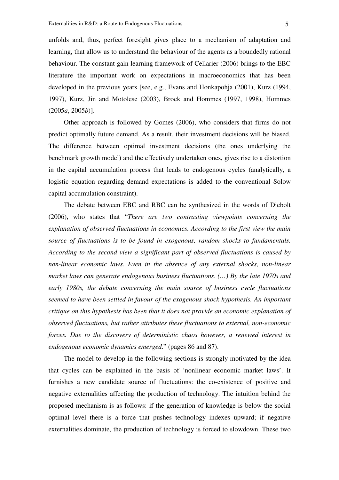unfolds and, thus, perfect foresight gives place to a mechanism of adaptation and learning, that allow us to understand the behaviour of the agents as a boundedly rational behaviour. The constant gain learning framework of Cellarier (2006) brings to the EBC literature the important work on expectations in macroeconomics that has been developed in the previous years [see, e.g., Evans and Honkapohja (2001), Kurz (1994, 1997), Kurz, Jin and Motolese (2003), Brock and Hommes (1997, 1998), Hommes (2005*a*, 2005*b*)].

Other approach is followed by Gomes (2006), who considers that firms do not predict optimally future demand. As a result, their investment decisions will be biased. The difference between optimal investment decisions (the ones underlying the benchmark growth model) and the effectively undertaken ones, gives rise to a distortion in the capital accumulation process that leads to endogenous cycles (analytically, a logistic equation regarding demand expectations is added to the conventional Solow capital accumulation constraint).

The debate between EBC and RBC can be synthesized in the words of Diebolt (2006), who states that "*There are two contrasting viewpoints concerning the explanation of observed fluctuations in economics. According to the first view the main source of fluctuations is to be found in exogenous, random shocks to fundamentals. According to the second view a significant part of observed fluctuations is caused by non-linear economic laws. Even in the absence of any external shocks, non-linear market laws can generate endogenous business fluctuations*. *(…) By the late 1970s and early 1980s, the debate concerning the main source of business cycle fluctuations seemed to have been settled in favour of the exogenous shock hypothesis. An important critique on this hypothesis has been that it does not provide an economic explanation of observed fluctuations, but rather attributes these fluctuations to external, non-economic forces. Due to the discovery of deterministic chaos however, a renewed interest in endogenous economic dynamics emerged*." (pages 86 and 87).

The model to develop in the following sections is strongly motivated by the idea that cycles can be explained in the basis of 'nonlinear economic market laws'. It furnishes a new candidate source of fluctuations: the co-existence of positive and negative externalities affecting the production of technology. The intuition behind the proposed mechanism is as follows: if the generation of knowledge is below the social optimal level there is a force that pushes technology indexes upward; if negative externalities dominate, the production of technology is forced to slowdown. These two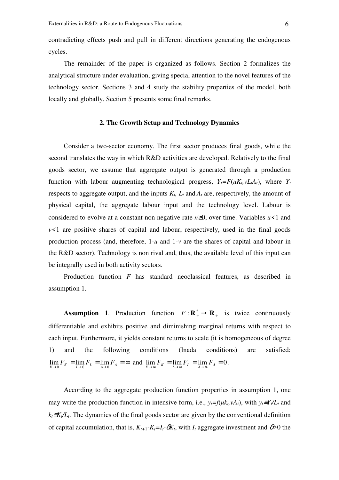contradicting effects push and pull in different directions generating the endogenous cycles.

The remainder of the paper is organized as follows. Section 2 formalizes the analytical structure under evaluation, giving special attention to the novel features of the technology sector. Sections 3 and 4 study the stability properties of the model, both locally and globally. Section 5 presents some final remarks.

# **2. The Growth Setup and Technology Dynamics**

Consider a two-sector economy. The first sector produces final goods, while the second translates the way in which R&D activities are developed. Relatively to the final goods sector, we assume that aggregate output is generated through a production function with labour augmenting technological progress,  $Y_t = F(uK_t, vL_tA_t)$ , where  $Y_t$ respects to aggregate output, and the inputs  $K_t$ ,  $L_t$  and  $A_t$  are, respectively, the amount of physical capital, the aggregate labour input and the technology level. Labour is considered to evolve at a constant non negative rate *n*≥0, over time. Variables *u<*1 and  $v \leq 1$  are positive shares of capital and labour, respectively, used in the final goods production process (and, therefore, 1-*u* and 1-*v* are the shares of capital and labour in the R&D sector). Technology is non rival and, thus, the available level of this input can be integrally used in both activity sectors.

Production function *F* has standard neoclassical features, as described in assumption 1.

**Assumption 1.** Production function  $F: \mathbb{R}^2_+ \to \mathbb{R}_+$  is twice continuously differentiable and exhibits positive and diminishing marginal returns with respect to each input. Furthermore, it yields constant returns to scale (it is homogeneous of degree 1) and the following conditions (Inada conditions) are satisfied:  $\lim_{K \to 0} F_K = \lim_{L \to 0} F_L = \lim_{A \to 0} F_A = \infty$  and  $\lim_{K \to \infty} F_K = \lim_{L \to \infty} F_L = \lim_{A \to \infty} F_A = 0$ .

According to the aggregate production function properties in assumption 1, one may write the production function in intensive form, i.e.,  $y_t = f(uk_t, vA_t)$ , with  $y_t = Y_t/L_t$  and *k*<sup>*t*</sup>≡*K*<sup>*/L*</sup><sup>*t*</sup>. The dynamics of the final goods sector are given by the conventional definition of capital accumulation, that is,  $K_{t+1}$ - $K_t$ = $I_t$ - $\delta K_t$ , with  $I_t$  aggregate investment and  $\delta > 0$  the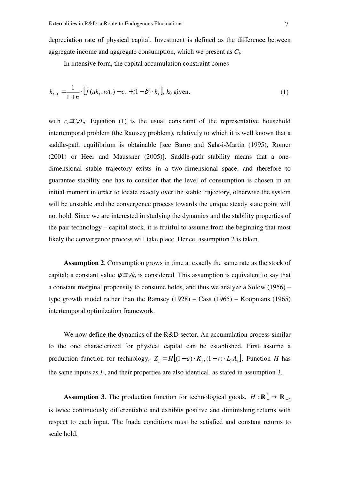depreciation rate of physical capital. Investment is defined as the difference between aggregate income and aggregate consumption, which we present as *C<sup>t</sup>* .

In intensive form, the capital accumulation constraint comes

$$
k_{t+1} = \frac{1}{1+n} \cdot [f(uk_t, vA_t) - c_t + (1-\delta) \cdot k_t], k_0 \text{ given.}
$$
 (1)

with  $c_t \equiv C_t/L_t$ . Equation (1) is the usual constraint of the representative household intertemporal problem (the Ramsey problem), relatively to which it is well known that a saddle-path equilibrium is obtainable [see Barro and Sala-i-Martin (1995), Romer (2001) or Heer and Maussner (2005)]. Saddle-path stability means that a onedimensional stable trajectory exists in a two-dimensional space, and therefore to guarantee stability one has to consider that the level of consumption is chosen in an initial moment in order to locate exactly over the stable trajectory, otherwise the system will be unstable and the convergence process towards the unique steady state point will not hold. Since we are interested in studying the dynamics and the stability properties of the pair technology – capital stock, it is fruitful to assume from the beginning that most likely the convergence process will take place. Hence, assumption 2 is taken.

**Assumption 2**. Consumption grows in time at exactly the same rate as the stock of capital; a constant value  $\psi = c/k_t$  is considered. This assumption is equivalent to say that a constant marginal propensity to consume holds, and thus we analyze a Solow (1956) – type growth model rather than the Ramsey (1928) – Cass (1965) – Koopmans (1965) intertemporal optimization framework.

We now define the dynamics of the R&D sector. An accumulation process similar to the one characterized for physical capital can be established. First assume a production function for technology,  $Z_t = H[(1 - u) \cdot K_t, (1 - v) \cdot L_t A_t]$ . Function *H* has the same inputs as *F*, and their properties are also identical, as stated in assumption 3.

**Assumption 3**. The production function for technological goods,  $H: \mathbb{R}^2_+ \to \mathbb{R}_+$ , is twice continuously differentiable and exhibits positive and diminishing returns with respect to each input. The Inada conditions must be satisfied and constant returns to scale hold.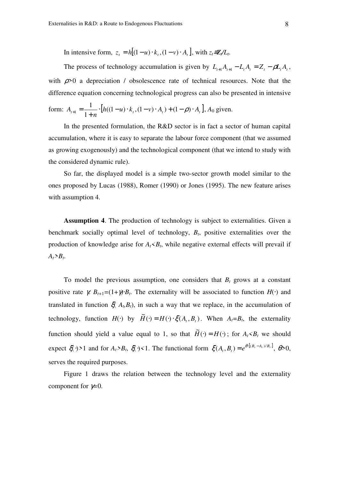In intensive form,  $z_t = h[(1 - u) \cdot k_t, (1 - v) \cdot A_t]$ , with  $z_t = Z_t / L_t$ .

The process of technology accumulation is given by  $L_{t+1}A_{t+1} - L_tA_t = Z_t - \rho L_tA_t$ , with  $\rho > 0$  a depreciation / obsolescence rate of technical resources. Note that the difference equation concerning technological progress can also be presented in intensive

form: 
$$
A_{t+1} = \frac{1}{1+n} \cdot [h((1-u)\cdot k_t, (1-v)\cdot A_t) + (1-\rho)\cdot A_t], A_0
$$
 given.

In the presented formulation, the R&D sector is in fact a sector of human capital accumulation, where it is easy to separate the labour force component (that we assumed as growing exogenously) and the technological component (that we intend to study with the considered dynamic rule).

So far, the displayed model is a simple two-sector growth model similar to the ones proposed by Lucas (1988), Romer (1990) or Jones (1995). The new feature arises with assumption 4.

**Assumption 4**. The production of technology is subject to externalities. Given a benchmark socially optimal level of technology, *B<sup>t</sup>* , positive externalities over the production of knowledge arise for  $A_t$ <sup> $\lt B_t$ </sup>, while negative external effects will prevail if  $A_t$ *>B*<sub>t</sub>.

To model the previous assumption, one considers that  $B_t$  grows at a constant positive rate  $\gamma$ .  $B_{t+1} = (1+\gamma) \cdot B_t$ . The externality will be associated to function  $H(\cdot)$  and translated in function  $\zeta(A_t, B_t)$ , in such a way that we replace, in the accumulation of technology, function  $H(\cdot)$  by  $\widetilde{H}(\cdot) = H(\cdot) \cdot \xi(A_t, B_t)$ . When  $A_t = B_t$ , the externality function should yield a value equal to 1, so that  $\widetilde{H}(\cdot) = H(\cdot)$ ; for  $A_t < B_t$  we should expect  $\zeta(\cdot) > 1$  and for  $A_t > B_t$ ,  $\zeta(\cdot) < 1$ . The functional form  $\zeta(A_t, B_t) = e^{\theta \cdot [B_t - A_t / B_t]}$ ,  $\theta > 0$ , serves the required purposes.

Figure 1 draws the relation between the technology level and the externality component for γ*=*0.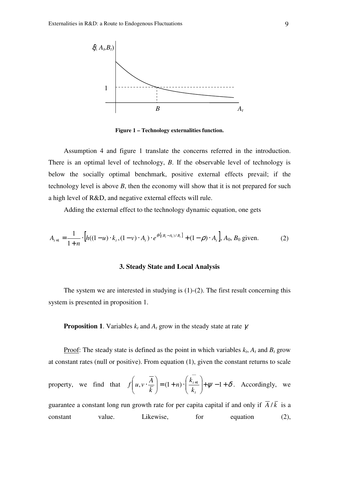

**Figure 1 – Technology externalities function.** 

Assumption 4 and figure 1 translate the concerns referred in the introduction. There is an optimal level of technology, *B*. If the observable level of technology is below the socially optimal benchmark, positive external effects prevail; if the technology level is above *B*, then the economy will show that it is not prepared for such a high level of R&D, and negative external effects will rule.

Adding the external effect to the technology dynamic equation, one gets

$$
A_{t+1} = \frac{1}{1+n} \cdot \left[ h((1-u) \cdot k_t, (1-v) \cdot A_t) \cdot e^{\theta \cdot [(B_t - A_t)/B_t]} + (1-\rho) \cdot A_t \right], A_0, B_0 \text{ given.}
$$
 (2)

## **3. Steady State and Local Analysis**

The system we are interested in studying is  $(1)-(2)$ . The first result concerning this system is presented in proposition 1.

**Proposition 1**. Variables  $k_t$  and  $A_t$  grow in the steady state at rate  $\gamma$ .

Proof: The steady state is defined as the point in which variables  $k_t$ ,  $A_t$  and  $B_t$  grow at constant rates (null or positive). From equation (1), given the constant returns to scale

property, we find that 
$$
f\left(u, v \cdot \frac{\overline{A}}{\overline{k}}\right) = (1+n) \cdot \left(\frac{\overline{k_{i+1}}}{k_i}\right) + \psi - 1 + \delta
$$
. Accordingly, we

guarantee a constant long run growth rate for per capita capital if and only if  $\overline{A}/\overline{k}$  is a constant value. Likewise, for equation (2),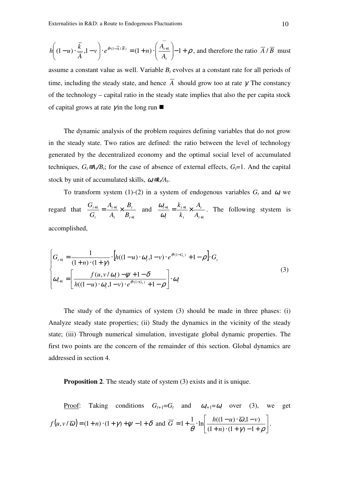$$
h\left((1-u)\cdot\frac{\overline{k}}{\overline{A}},1-v\right)\cdot e^{\theta\cdot(1-\overline{A}/\overline{B})} = (1+n)\cdot\left(\frac{\overline{A_{i+1}}}{A_i}\right) - 1 + \rho
$$
, and therefore the ratio  $\overline{A}/\overline{B}$  must

assume a constant value as well. Variable  $B_t$  evolves at a constant rate for all periods of time, including the steady state, and hence  $\overline{A}$  should grow too at rate  $\gamma$ . The constancy of the technology – capital ratio in the steady state implies that also the per capita stock of capital grows at rate  $\gamma$  in the long run

The dynamic analysis of the problem requires defining variables that do not grow in the steady state. Two ratios are defined: the ratio between the level of technology generated by the decentralized economy and the optimal social level of accumulated techniques,  $G_t \equiv A_t / B_t$ ; for the case of absence of external effects,  $G_t = 1$ . And the capital stock by unit of accumulated skills,  $ω_{}$ ≡*k*<sub>*t*</sub>/*A*<sub>*t*</sub>.

To transform system (1)-(2) in a system of endogenous variables  $G_t$  and  $\omega_t$  we regard that 1  $1 - f_{t+1}$ +  $\frac{+1}{\cdot} = \frac{1}{\cdot} \frac{1}{\cdot}$   $\times$ *t t t t t t B B A A G G* and 1  $1 - \mu_{t+1}$ +  $\frac{+1}{-} = \frac{K_{t+1}}{+} \times$ *t t t t t t A A k k* ω  $\frac{\omega_{t+1}}{\omega_{t+1}} = \frac{k_{t+1}}{k} \times \frac{A_t}{k}$ . The following stystem is accomplished,

$$
\begin{cases}\nG_{t+1} = \frac{1}{(1+n) \cdot (1+\gamma)} \cdot \left[ h((1-u) \cdot \omega_t, 1-v) \cdot e^{\theta \cdot (1-G_t)} + 1 - \rho \right] \cdot G_t \\
\omega_{t+1} = \left[ \frac{f(u, v/\omega_t) - \psi + 1 - \delta}{h((1-u) \cdot \omega_t, 1-v) \cdot e^{\theta \cdot (1-G_t)} + 1 - \rho} \right] \cdot \omega_t\n\end{cases}
$$
\n(3)

The study of the dynamics of system (3) should be made in three phases: (i) Analyze steady state properties; (ii) Study the dynamics in the vicinity of the steady state; (iii) Through numerical simulation, investigate global dynamic properties. The first two points are the concern of the remainder of this section. Global dynamics are addressed in section 4.

**Proposition 2.** The steady state of system (3) exists and it is unique.

Proof: Taking conditions 
$$
G_{t+1} = G_t
$$
 and  $\omega_{t+1} = \omega_t$  over (3), we get  
\n
$$
f(u, v/\overline{\omega}) = (1+n) \cdot (1+\gamma) + \psi - 1 + \delta \text{ and } \overline{G} = 1 + \frac{1}{\theta} \cdot \ln \left[ \frac{h((1-u)\cdot \overline{\omega}, 1-v)}{(1+n)\cdot(1+\gamma)-1+\rho} \right].
$$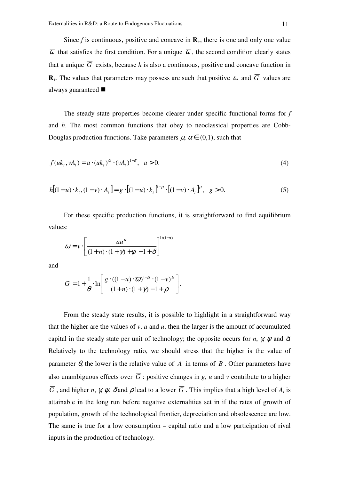Since  $f$  is continuous, positive and concave in  $\mathbf{R}_{+}$ , there is one and only one value  $\overline{\omega}$  that satisfies the first condition. For a unique  $\overline{\omega}$ , the second condition clearly states that a unique  $\overline{G}$  exists, because *h* is also a continuous, positive and concave function in **R**<sub>+</sub>. The values that parameters may possess are such that positive  $\overline{\omega}$  and  $\overline{G}$  values are always guaranteed

The steady state properties become clearer under specific functional forms for *f* and *h*. The most common functions that obey to neoclassical properties are Cobb-Douglas production functions. Take parameters  $\mu$ ,  $\alpha \in (0,1)$ , such that

$$
f(uk_t, vA_t) = a \cdot (uk_t)^{\alpha} \cdot (vA_t)^{1-\alpha}, \ \ a > 0.
$$
 (4)

$$
h[(1-u)\cdot k_t, (1-v)\cdot A_t] = g \cdot [(1-u)\cdot k_t]^{1-\mu} \cdot [(1-v)\cdot A_t]^{\mu}, \quad g > 0.
$$
 (5)

For these specific production functions, it is straightforward to find equilibrium values:

$$
\overline{\omega} = v \cdot \left[ \frac{au^{\alpha}}{(1+n) \cdot (1+\gamma) + \psi - 1 + \delta} \right]^{1/(1-\alpha)}
$$

and

$$
\overline{G} = 1 + \frac{1}{\theta} \cdot \ln \left[ \frac{g \cdot ((1 - u) \cdot \overline{\omega})^{1 - \mu} \cdot (1 - v)^{\mu}}{(1 + n) \cdot (1 + \gamma) - 1 + \rho} \right].
$$

From the steady state results, it is possible to highlight in a straightforward way that the higher are the values of  $v$ ,  $a$  and  $u$ , then the larger is the amount of accumulated capital in the steady state per unit of technology; the opposite occurs for *n*,  $\gamma$ ,  $\psi$  and  $\delta$ . Relatively to the technology ratio, we should stress that the higher is the value of parameter  $\theta$ , the lower is the relative value of  $\overline{A}$  in terms of  $\overline{B}$ . Other parameters have also unambiguous effects over  $\overline{G}$ : positive changes in *g*, *u* and *v* contribute to a higher *G*, and higher *n*,  $\gamma$ ,  $\psi$ ,  $\delta$  and  $\rho$  lead to a lower *G*. This implies that a high level of  $A_t$  is attainable in the long run before negative externalities set in if the rates of growth of population, growth of the technological frontier, depreciation and obsolescence are low. The same is true for a low consumption – capital ratio and a low participation of rival inputs in the production of technology.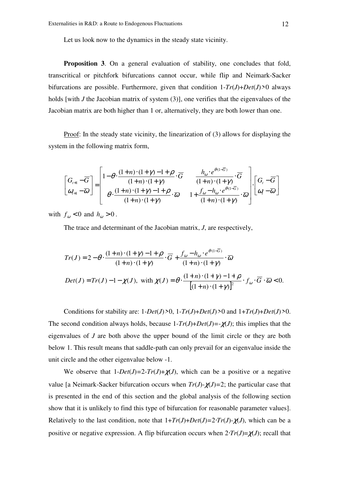Let us look now to the dynamics in the steady state vicinity.

**Proposition 3.** On a general evaluation of stability, one concludes that fold, transcritical or pitchfork bifurcations cannot occur, while flip and Neimark-Sacker bifurcations are possible. Furthermore, given that condition 1-*Tr*(*J*)+*Det*(*J*)*>*0 always holds [with *J* the Jacobian matrix of system (3)], one verifies that the eigenvalues of the Jacobian matrix are both higher than 1 or, alternatively, they are both lower than one.

Proof: In the steady state vicinity, the linearization of (3) allows for displaying the system in the following matrix form,

$$
\begin{bmatrix} G_{t+1} - \overline{G} \\ \omega_{t+1} - \overline{\omega} \end{bmatrix} = \begin{bmatrix} 1 - \theta \cdot \frac{(1+n) \cdot (1+\gamma) - 1 + \rho}{(1+n) \cdot (1+\gamma)} \cdot \overline{G} & \frac{h_{\omega} \cdot e^{\theta (1-\overline{G})}}{(1+n) \cdot (1+\gamma)} \cdot \overline{G} \\ \theta \cdot \frac{(1+n) \cdot (1+\gamma) - 1 + \rho}{(1+n) \cdot (1+\gamma)} \cdot \overline{\omega} & 1 + \frac{f_{\omega} - h_{\omega} \cdot e^{\theta (1-\overline{G})}}{(1+n) \cdot (1+\gamma)} \cdot \overline{\omega} \end{bmatrix} \cdot \begin{bmatrix} G_{t} - \overline{G} \\ \omega_{t} - \overline{\omega} \end{bmatrix}
$$

with  $f_{\omega} < 0$  and  $h_{\omega} > 0$ .

The trace and determinant of the Jacobian matrix, *J*, are respectively,

$$
Tr(J) = 2 - \theta \cdot \frac{(1+n) \cdot (1+\gamma) - 1 + \rho}{(1+n) \cdot (1+\gamma)} \cdot \overline{G} + \frac{f_{\omega} - h_{\omega} \cdot e^{\theta \cdot (1-\overline{G})}}{(1+n) \cdot (1+\gamma)} \cdot \overline{\omega}
$$
  
Det(J) = Tr(J) - 1 - \chi(J), with  $\chi(J) = \theta \cdot \frac{(1+n) \cdot (1+\gamma) - 1 + \rho}{[(1+n) \cdot (1+\gamma)]^2} \cdot f_{\omega} \cdot \overline{G} \cdot \overline{\omega} < 0.$ 

Conditions for stability are:  $1$ *-Det*(*J*) $>0$ ,  $1$ *-Tr*(*J*)+*Det*(*J*) $>0$  and  $1$ +*Tr*(*J*)+*Det*(*J*) $>0$ . The second condition always holds, because  $1 - Tr(J) + Det(J) = -\chi(J)$ ; this implies that the eigenvalues of *J* are both above the upper bound of the limit circle or they are both below 1. This result means that saddle-path can only prevail for an eigenvalue inside the unit circle and the other eigenvalue below -1.

We observe that  $1$ - $Det(J)$ = $2$ - $Tr(J)$ + $\chi(J)$ , which can be a positive or a negative value [a Neimark-Sacker bifurcation occurs when  $Tr(J)$ - $\chi$  $J$ )=2; the particular case that is presented in the end of this section and the global analysis of the following section show that it is unlikely to find this type of bifurcation for reasonable parameter values]. Relatively to the last condition, note that  $1+Tr(J)+Det(J)=2\cdot Tr(J)-\chi(J)$ , which can be a positive or negative expression. A flip bifurcation occurs when  $2 \cdot Tr(J) = \chi(J)$ ; recall that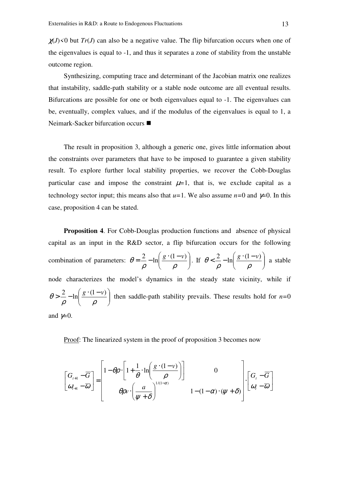$\chi$ (*J*) <0 but *Tr*(*J*) can also be a negative value. The flip bifurcation occurs when one of the eigenvalues is equal to -1, and thus it separates a zone of stability from the unstable outcome region.

Synthesizing, computing trace and determinant of the Jacobian matrix one realizes that instability, saddle-path stability or a stable node outcome are all eventual results. Bifurcations are possible for one or both eigenvalues equal to -1. The eigenvalues can be, eventually, complex values, and if the modulus of the eigenvalues is equal to 1, a Neimark-Sacker bifurcation occurs ■

The result in proposition 3, although a generic one, gives little information about the constraints over parameters that have to be imposed to guarantee a given stability result. To explore further local stability properties, we recover the Cobb-Douglas particular case and impose the constraint  $\mu=1$ , that is, we exclude capital as a technology sector input; this means also that  $u=1$ . We also assume  $n=0$  and  $\gamma=0$ . In this case, proposition 4 can be stated.

**Proposition 4**. For Cobb-Douglas production functions and absence of physical capital as an input in the R&D sector, a flip bifurcation occurs for the following combination of parameters:  $\theta = \frac{2}{3} - \ln \left| \frac{g'(1 - v)}{g(1 - v)} \right|$ J  $\backslash$  $\mathsf{I}$ l  $=\frac{2}{\pi}-\ln\left(\frac{g\cdot(1-\right)}{g\cdot g\cdot(1-\right)}$ ρ ρ  $\theta = \frac{2}{\theta} - \ln \left( \frac{g \cdot (1 - v)}{g} \right)$ . If  $\theta < \frac{2}{\theta} - \ln \left( \frac{g \cdot (1 - v)}{g} \right)$ J  $\backslash$  $\mathsf{I}$ l  $\frac{2}{s} - \ln \left( \frac{g \cdot (1 - \frac{g}{s})}{s} \right)$ ρ ρ  $\theta < \frac{2}{\pi} - \ln \left( \frac{g \cdot (1 - v)}{2} \right)$  a stable node characterizes the model's dynamics in the steady state vicinity, while if  $\overline{\phantom{a}}$ J  $\backslash$  $\overline{\phantom{a}}$ l  $> \frac{2}{-} - \ln \left( \frac{g \cdot (1$ ρ ρ  $\theta > \frac{2}{r} - \ln \left( \frac{g \cdot (1 - v)}{2} \right)$  then saddle-path stability prevails. These results hold for *n*=0 and  $\not=0$ .

Proof: The linearized system in the proof of proposition 3 becomes now

$$
\begin{bmatrix} G_{t+1} - \overline{G} \\ \omega_{t+1} - \overline{\omega} \end{bmatrix} = \begin{bmatrix} 1 - \theta \rho \cdot \left[ 1 + \frac{1}{\theta} \cdot \ln \left( \frac{g \cdot (1 - \nu)}{\rho} \right) \right] & 0 \\ \theta \rho v \cdot \left( \frac{a}{\psi + \delta} \right)^{1/(1 - \alpha)} & 1 - (1 - \alpha) \cdot (\psi + \delta) \end{bmatrix} \cdot \begin{bmatrix} G_t - \overline{G} \\ \omega_t - \overline{\omega} \end{bmatrix}
$$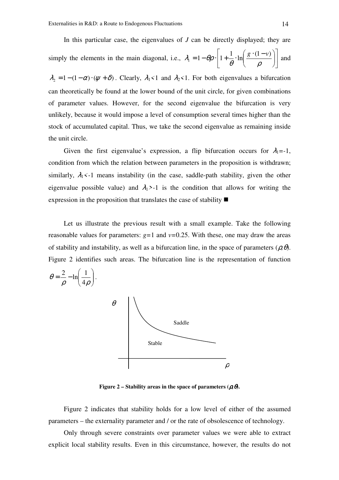In this particular case, the eigenvalues of *J* can be directly displayed; they are simply the elements in the main diagonal, i.e.,  $\lambda_1 = 1 - \theta \rho \cdot \left| 1 + \frac{1}{\rho} \cdot \ln \left( \frac{g \cdot (1 - v)}{g} \right) \right|$ J 1 L L Γ  $\overline{\phantom{a}}$ J  $\backslash$  $\overline{\phantom{a}}$ l  $= 1 - \theta \rho \cdot \left| 1 + \frac{1}{\rho} \cdot \ln \right| \frac{g \cdot (1 - \mu)}{g}$ θ ρ  $\lambda_1 = 1 - \theta \rho \cdot \left| 1 + \frac{1}{\rho} \cdot \ln \left( \frac{g \cdot (1 - v)}{g} \right) \right|$  and

 $\lambda_2 = 1 - (1 - \alpha) \cdot (\psi + \delta)$ . Clearly,  $\lambda_1 < 1$  and  $\lambda_2 < 1$ . For both eigenvalues a bifurcation can theoretically be found at the lower bound of the unit circle, for given combinations of parameter values. However, for the second eigenvalue the bifurcation is very unlikely, because it would impose a level of consumption several times higher than the stock of accumulated capital. Thus, we take the second eigenvalue as remaining inside the unit circle.

Given the first eigenvalue's expression, a flip bifurcation occurs for  $\lambda_1 = -1$ , condition from which the relation between parameters in the proposition is withdrawn; similarly,  $\lambda_1$ <-1 means instability (in the case, saddle-path stability, given the other eigenvalue possible value) and  $\lambda_1 > -1$  is the condition that allows for writing the expression in the proposition that translates the case of stability  $\blacksquare$ 

Let us illustrate the previous result with a small example. Take the following reasonable values for parameters:  $g=1$  and  $v=0.25$ . With these, one may draw the areas of stability and instability, as well as a bifurcation line, in the space of parameters (ρ*,*θ). Figure 2 identifies such areas. The bifurcation line is the representation of function



**Figure 2 – Stability areas in the space of parameters (** $\boldsymbol{\beta}$ **,**  $\boldsymbol{\theta}$ **).** 

Figure 2 indicates that stability holds for a low level of either of the assumed parameters – the externality parameter and / or the rate of obsolescence of technology.

Only through severe constraints over parameter values we were able to extract explicit local stability results. Even in this circumstance, however, the results do not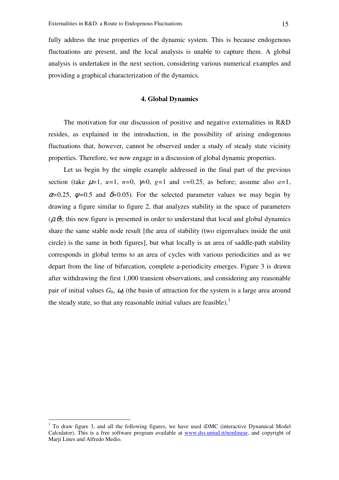fully address the true properties of the dynamic system. This is because endogenous fluctuations are present, and the local analysis is unable to capture them. A global analysis is undertaken in the next section, considering various numerical examples and providing a graphical characterization of the dynamics.

# **4. Global Dynamics**

The motivation for our discussion of positive and negative externalities in R&D resides, as explained in the introduction, in the possibility of arising endogenous fluctuations that, however, cannot be observed under a study of steady state vicinity properties. Therefore, we now engage in a discussion of global dynamic properties.

Let us begin by the simple example addressed in the final part of the previous section (take  $\mu=1$ ,  $\mu=1$ ,  $n=0$ ,  $\gamma=0$ ,  $g=1$  and  $v=0.25$ , as before; assume also  $a=1$ ,  $\alpha$ =0.25,  $\psi$ =0.5 and  $\delta$ =0.05). For the selected parameter values we may begin by drawing a figure similar to figure 2, that analyzes stability in the space of parameters  $(\rho, \theta)$ ; this new figure is presented in order to understand that local and global dynamics share the same stable node result [the area of stability (two eigenvalues inside the unit circle) is the same in both figures], but what locally is an area of saddle-path stability corresponds in global terms to an area of cycles with various periodicities and as we depart from the line of bifurcation, complete a-periodicity emerges. Figure 3 is drawn after withdrawing the first 1,000 transient observations, and considering any reasonable pair of initial values  $G_0$ ,  $\omega_0$  (the basin of attraction for the system is a large area around the steady state, so that any reasonable initial values are feasible).<sup>1</sup>

 $\overline{a}$ 

<sup>&</sup>lt;sup>1</sup> To draw figure 3, and all the following figures, we have used iDMC (interactive Dynamical Model Calculator). This is a free software program available at www.dss.uniud.it/nonlinear, and copyright of Marji Lines and Alfredo Medio.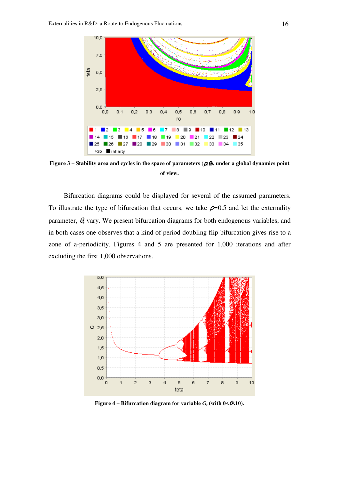

**Figure 3** – Stability area and cycles in the space of parameters  $(\rho, \theta)$ , under a global dynamics point **of view.** 

Bifurcation diagrams could be displayed for several of the assumed parameters. To illustrate the type of bifurcation that occurs, we take  $\rho=0.5$  and let the externality parameter,  $\theta$ , vary. We present bifurcation diagrams for both endogenous variables, and in both cases one observes that a kind of period doubling flip bifurcation gives rise to a zone of a-periodicity. Figures 4 and 5 are presented for 1,000 iterations and after excluding the first 1,000 observations.



**Figure 4 – Bifurcation diagram for variable**  $G_t$  **(with**  $0 \le \theta \le 10$ **).**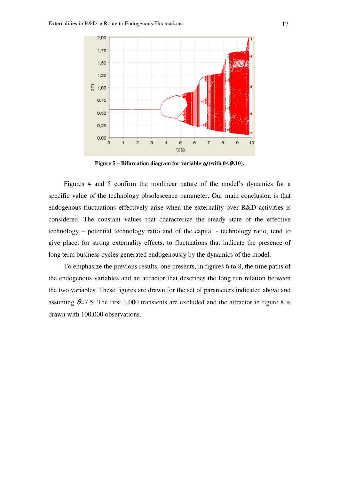

**Figure 5 – Bifurcation diagram for variable**  $\omega$  **(with**  $0 < \theta < 10$ **).** 

Figures 4 and 5 confirm the nonlinear nature of the model's dynamics for a specific value of the technology obsolescence parameter. Our main conclusion is that endogenous fluctuations effectively arise when the externality over R&D activities is considered. The constant values that characterize the steady state of the effective technology – potential technology ratio and of the capital - technology ratio, tend to give place, for strong externality effects, to fluctuations that indicate the presence of long term business cycles generated endogenously by the dynamics of the model.

To emphasize the previous results, one presents, in figures 6 to 8, the time paths of the endogenous variables and an attractor that describes the long run relation between the two variables. These figures are drawn for the set of parameters indicated above and assuming  $\theta$ =7.5. The first 1,000 transients are excluded and the attractor in figure 8 is drawn with 100,000 observations.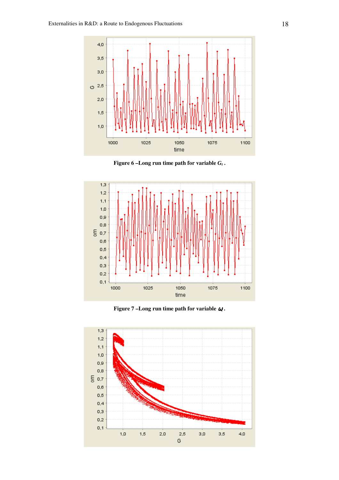

**Figure 6 –Long run time path for variable** *G<sup>t</sup>* **.** 



**Figure 7 –Long run time path for variable**  $\boldsymbol{\omega}$  **.** 

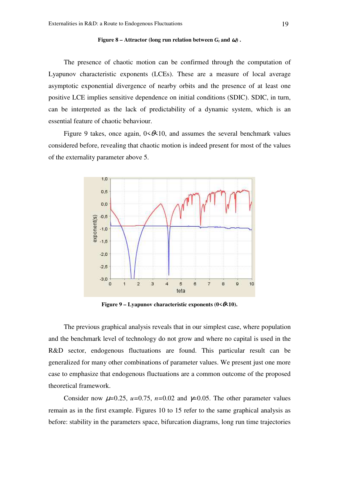#### **Figure 8 – Attractor (long run relation between**  $G_t$  **and**  $\boldsymbol{a}$ **).**

The presence of chaotic motion can be confirmed through the computation of Lyapunov characteristic exponents (LCEs). These are a measure of local average asymptotic exponential divergence of nearby orbits and the presence of at least one positive LCE implies sensitive dependence on initial conditions (SDIC). SDIC, in turn, can be interpreted as the lack of predictability of a dynamic system, which is an essential feature of chaotic behaviour.

Figure 9 takes, once again,  $0 \le \theta \le 10$ , and assumes the several benchmark values considered before, revealing that chaotic motion is indeed present for most of the values of the externality parameter above 5.



**Figure 9 – Lyapunov characteristic exponents (0<** $\angle$ **6×10).** 

The previous graphical analysis reveals that in our simplest case, where population and the benchmark level of technology do not grow and where no capital is used in the R&D sector, endogenous fluctuations are found. This particular result can be generalized for many other combinations of parameter values. We present just one more case to emphasize that endogenous fluctuations are a common outcome of the proposed theoretical framework.

Consider now  $\mu$ =0.25,  $\mu$ =0.75,  $n$ =0.02 and  $\gamma$ =0.05. The other parameter values remain as in the first example. Figures 10 to 15 refer to the same graphical analysis as before: stability in the parameters space, bifurcation diagrams, long run time trajectories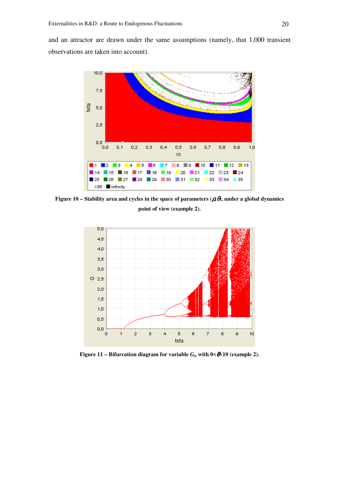and an attractor are drawn under the same assumptions (namely, that 1,000 transient observations are taken into account).



**Figure 10 – Stability area and cycles in the space of parameters (** $\beta$ **,**  $\theta$ **), under a global dynamics point of view (example 2).** 



**Figure 11 – Bifurcation diagram for variable**  $G_t$ **, with**  $0 \le \theta \le 10$  **(example 2).**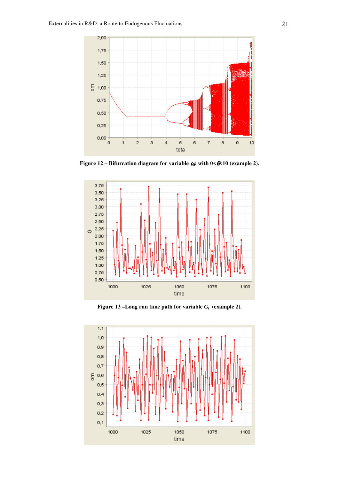

**Figure 12 – Bifurcation diagram for variable**  $\omega$ **, with**  $0 \le \theta \le 10$  **(example 2).** 



**Figure 13 –Long run time path for variable**  $G_t$  **(example 2).** 

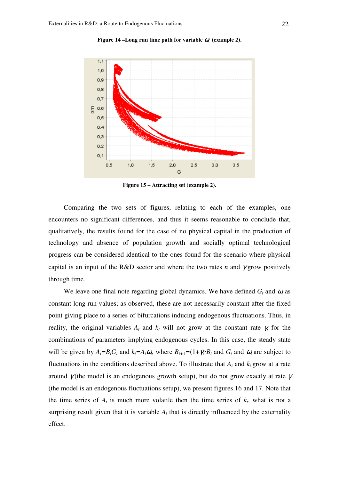

**Figure 14 –Long run time path for variable**  $\alpha$  **(example 2).** 

**Figure 15 – Attracting set (example 2).** 

Comparing the two sets of figures, relating to each of the examples, one encounters no significant differences, and thus it seems reasonable to conclude that, qualitatively, the results found for the case of no physical capital in the production of technology and absence of population growth and socially optimal technological progress can be considered identical to the ones found for the scenario where physical capital is an input of the R&D sector and where the two rates *n* and  $\gamma$  grow positively through time.

We leave one final note regarding global dynamics. We have defined  $G_t$  and  $\omega_t$  as constant long run values; as observed, these are not necessarily constant after the fixed point giving place to a series of bifurcations inducing endogenous fluctuations. Thus, in reality, the original variables  $A_t$  and  $k_t$  will not grow at the constant rate  $\gamma$ , for the combinations of parameters implying endogenous cycles. In this case, the steady state will be given by  $A_t = B_t G_t$  and  $k_t = A_t \omega_t$ , where  $B_{t+1} = (1 + \gamma) \cdot B_t$  and  $G_t$  and  $\omega_t$  are subject to fluctuations in the conditions described above. To illustrate that  $A_t$  and  $k_t$  grow at a rate around  $\gamma$  (the model is an endogenous growth setup), but do not grow exactly at rate  $\gamma$ (the model is an endogenous fluctuations setup), we present figures 16 and 17. Note that the time series of  $A_t$  is much more volatile then the time series of  $k_t$ , what is not a surprising result given that it is variable  $A_t$  that is directly influenced by the externality effect.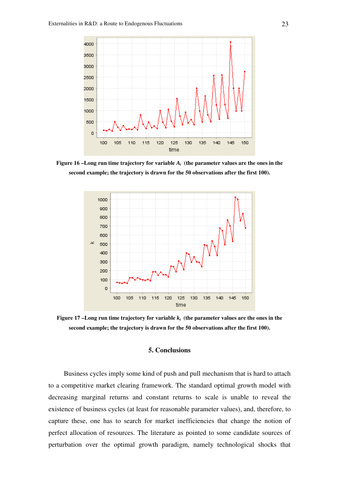

**Figure 16 –Long run time trajectory for variable** *A<sup>t</sup>*  **(the parameter values are the ones in the second example; the trajectory is drawn for the 50 observations after the first 100).** 



Figure 17 –Long run time trajectory for variable  $k_t$  (the parameter values are the ones in the **second example; the trajectory is drawn for the 50 observations after the first 100).** 

#### **5. Conclusions**

Business cycles imply some kind of push and pull mechanism that is hard to attach to a competitive market clearing framework. The standard optimal growth model with decreasing marginal returns and constant returns to scale is unable to reveal the existence of business cycles (at least for reasonable parameter values), and, therefore, to capture these, one has to search for market inefficiencies that change the notion of perfect allocation of resources. The literature as pointed to some candidate sources of perturbation over the optimal growth paradigm, namely technological shocks that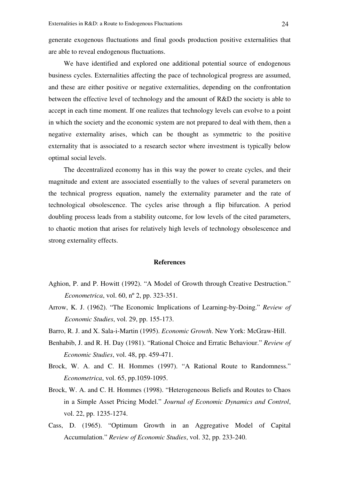generate exogenous fluctuations and final goods production positive externalities that are able to reveal endogenous fluctuations.

We have identified and explored one additional potential source of endogenous business cycles. Externalities affecting the pace of technological progress are assumed, and these are either positive or negative externalities, depending on the confrontation between the effective level of technology and the amount of R&D the society is able to accept in each time moment. If one realizes that technology levels can evolve to a point in which the society and the economic system are not prepared to deal with them, then a negative externality arises, which can be thought as symmetric to the positive externality that is associated to a research sector where investment is typically below optimal social levels.

The decentralized economy has in this way the power to create cycles, and their magnitude and extent are associated essentially to the values of several parameters on the technical progress equation, namely the externality parameter and the rate of technological obsolescence. The cycles arise through a flip bifurcation. A period doubling process leads from a stability outcome, for low levels of the cited parameters, to chaotic motion that arises for relatively high levels of technology obsolescence and strong externality effects.

#### **References**

- Aghion, P. and P. Howitt (1992). "A Model of Growth through Creative Destruction." *Econometrica*, vol. 60, nº 2, pp. 323-351.
- Arrow, K. J. (1962). "The Economic Implications of Learning-by-Doing." *Review of Economic Studies*, vol. 29, pp. 155-173.
- Barro, R. J. and X. Sala-i-Martin (1995). *Economic Growth*. New York: McGraw-Hill.
- Benhabib, J. and R. H. Day (1981). "Rational Choice and Erratic Behaviour." *Review of Economic Studies*, vol. 48, pp. 459-471.
- Brock, W. A. and C. H. Hommes (1997). "A Rational Route to Randomness." *Econometrica*, vol. 65, pp.1059-1095.
- Brock, W. A. and C. H. Hommes (1998). "Heterogeneous Beliefs and Routes to Chaos in a Simple Asset Pricing Model." *Journal of Economic Dynamics and Control*, vol. 22, pp. 1235-1274.
- Cass, D. (1965). "Optimum Growth in an Aggregative Model of Capital Accumulation." *Review of Economic Studies*, vol. 32, pp. 233-240.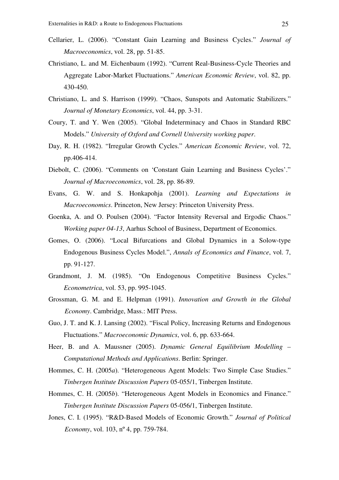- Cellarier, L. (2006). "Constant Gain Learning and Business Cycles." *Journal of Macroeconomics*, vol. 28, pp. 51-85.
- Christiano, L. and M. Eichenbaum (1992). "Current Real-Business-Cycle Theories and Aggregate Labor-Market Fluctuations." *American Economic Review*, vol. 82, pp. 430-450.
- Christiano, L. and S. Harrison (1999). "Chaos, Sunspots and Automatic Stabilizers." *Journal of Monetary Economics*, vol. 44, pp. 3-31.
- Coury, T. and Y. Wen (2005). "Global Indeterminacy and Chaos in Standard RBC Models." *University of Oxford and Cornell University working paper*.
- Day, R. H. (1982). "Irregular Growth Cycles." *American Economic Review*, vol. 72, pp.406-414.
- Diebolt, C. (2006). "Comments on 'Constant Gain Learning and Business Cycles'." *Journal of Macroeconomics*, vol. 28, pp. 86-89.
- Evans, G. W. and S. Honkapohja (2001). *Learning and Expectations in Macroeconomics*. Princeton, New Jersey: Princeton University Press.
- Goenka, A. and O. Poulsen (2004). "Factor Intensity Reversal and Ergodic Chaos." *Working paper 04-13*, Aarhus School of Business, Department of Economics.
- Gomes, O. (2006). "Local Bifurcations and Global Dynamics in a Solow-type Endogenous Business Cycles Model.", *Annals of Economics and Finance*, vol. 7, pp. 91-127.
- Grandmont, J. M. (1985). "On Endogenous Competitive Business Cycles." *Econometrica*, vol. 53, pp. 995-1045.
- Grossman, G. M. and E. Helpman (1991). *Innovation and Growth in the Global Economy*. Cambridge, Mass.: MIT Press.
- Guo, J. T. and K. J. Lansing (2002). "Fiscal Policy, Increasing Returns and Endogenous Fluctuations." *Macroeconomic Dynamics*, vol. 6, pp. 633-664.
- Heer, B. and A. Maussner (2005). *Dynamic General Equilibrium Modelling Computational Methods and Applications*. Berlin: Springer.
- Hommes, C. H. (2005*a*). "Heterogeneous Agent Models: Two Simple Case Studies." *Tinbergen Institute Discussion Papers* 05-055/1, Tinbergen Institute.
- Hommes, C. H. (2005*b*). "Heterogeneous Agent Models in Economics and Finance." *Tinbergen Institute Discussion Papers* 05-056/1, Tinbergen Institute.
- Jones, C. I. (1995). "R&D-Based Models of Economic Growth." *Journal of Political Economy*, vol. 103, nº 4, pp. 759-784.